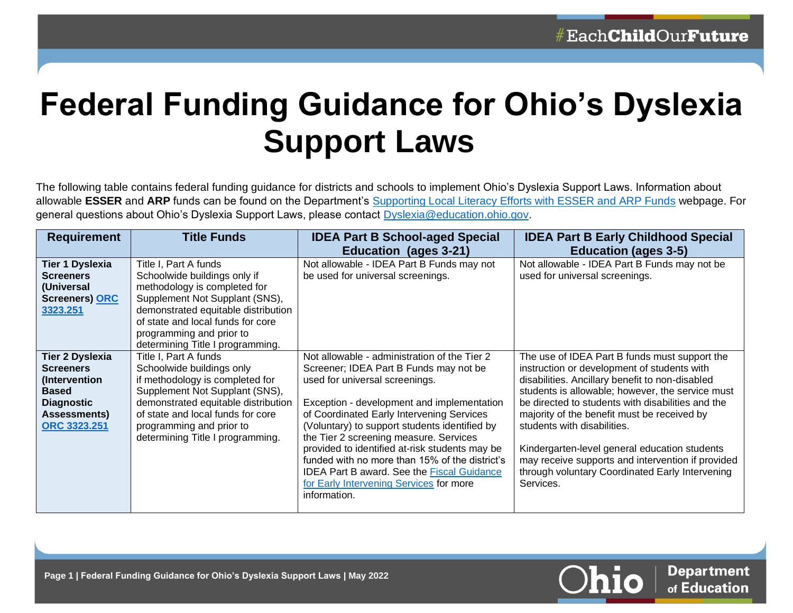## **Federal Funding Guidance for Ohio's Dyslexia Support Laws**

The following table contains federal funding guidance for districts and schools to implement Ohio's Dyslexia Support Laws. Information about allowable **ESSER** and **ARP** funds can be found on the Department's [Supporting Local Literacy Efforts with ESSER and ARP Funds](https://education.ohio.gov/Topics/Learning-in-Ohio/Literacy/Supporting-Local-Literacy-Efforts-with-ESSER-and) webpage. For general questions about Ohio's Dyslexia Support Laws, please contact Dyslexia@education.ohio.gov.

| <b>Requirement</b>                                                                                                               | <b>Title Funds</b>                                                                                                                                                                                                                                                  | <b>IDEA Part B School-aged Special</b>                                                                                                                                                                                                                                                                                                                                                                                                                                                                                             | <b>IDEA Part B Early Childhood Special</b>                                                                                                                                                                                                                                                                                                                                                                                                                                                                   |
|----------------------------------------------------------------------------------------------------------------------------------|---------------------------------------------------------------------------------------------------------------------------------------------------------------------------------------------------------------------------------------------------------------------|------------------------------------------------------------------------------------------------------------------------------------------------------------------------------------------------------------------------------------------------------------------------------------------------------------------------------------------------------------------------------------------------------------------------------------------------------------------------------------------------------------------------------------|--------------------------------------------------------------------------------------------------------------------------------------------------------------------------------------------------------------------------------------------------------------------------------------------------------------------------------------------------------------------------------------------------------------------------------------------------------------------------------------------------------------|
|                                                                                                                                  |                                                                                                                                                                                                                                                                     | Education (ages 3-21)                                                                                                                                                                                                                                                                                                                                                                                                                                                                                                              | <b>Education (ages 3-5)</b>                                                                                                                                                                                                                                                                                                                                                                                                                                                                                  |
| <b>Tier 1 Dyslexia</b><br><b>Screeners</b><br>(Universal<br><b>Screeners) ORC</b><br>3323.251                                    | Title I, Part A funds<br>Schoolwide buildings only if<br>methodology is completed for<br>Supplement Not Supplant (SNS),<br>demonstrated equitable distribution<br>of state and local funds for core<br>programming and prior to<br>determining Title I programming. | Not allowable - IDEA Part B Funds may not<br>be used for universal screenings.                                                                                                                                                                                                                                                                                                                                                                                                                                                     | Not allowable - IDEA Part B Funds may not be<br>used for universal screenings.                                                                                                                                                                                                                                                                                                                                                                                                                               |
| <b>Tier 2 Dyslexia</b><br><b>Screeners</b><br>(Intervention<br><b>Based</b><br><b>Diagnostic</b><br>Assessments)<br>ORC 3323.251 | Title I, Part A funds<br>Schoolwide buildings only<br>if methodology is completed for<br>Supplement Not Supplant (SNS),<br>demonstrated equitable distribution<br>of state and local funds for core<br>programming and prior to<br>determining Title I programming. | Not allowable - administration of the Tier 2<br>Screener; IDEA Part B Funds may not be<br>used for universal screenings.<br>Exception - development and implementation<br>of Coordinated Early Intervening Services<br>(Voluntary) to support students identified by<br>the Tier 2 screening measure. Services<br>provided to identified at-risk students may be<br>funded with no more than 15% of the district's<br><b>IDEA Part B award. See the Fiscal Guidance</b><br>for Early Intervening Services for more<br>information. | The use of IDEA Part B funds must support the<br>instruction or development of students with<br>disabilities. Ancillary benefit to non-disabled<br>students is allowable; however, the service must<br>be directed to students with disabilities and the<br>majority of the benefit must be received by<br>students with disabilities.<br>Kindergarten-level general education students<br>may receive supports and intervention if provided<br>through voluntary Coordinated Early Intervening<br>Services. |

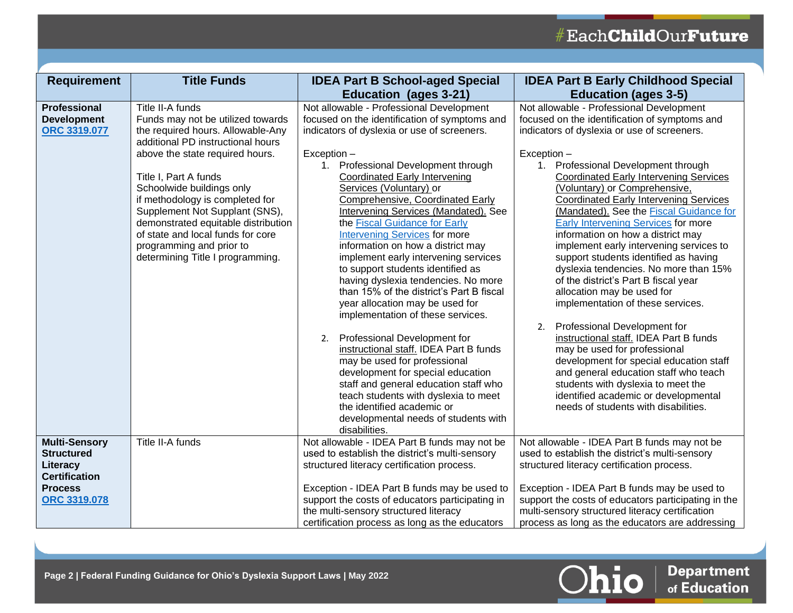| <b>Requirement</b>                                                                                                     | <b>Title Funds</b>                                                                                                                                                                                                                                                                                                                                                                                                                        | <b>IDEA Part B School-aged Special</b>                                                                                                                                                                                                                                                                                                                                                                                                                                                                                                                                                                                                                                                                                                                                                                                                                                                                                                                                                                                                      | <b>IDEA Part B Early Childhood Special</b>                                                                                                                                                                                                                                                                                                                                                                                                                                                                                                                                                                                                                                                                                                                                                                                                                                                                                                                                                                                    |
|------------------------------------------------------------------------------------------------------------------------|-------------------------------------------------------------------------------------------------------------------------------------------------------------------------------------------------------------------------------------------------------------------------------------------------------------------------------------------------------------------------------------------------------------------------------------------|---------------------------------------------------------------------------------------------------------------------------------------------------------------------------------------------------------------------------------------------------------------------------------------------------------------------------------------------------------------------------------------------------------------------------------------------------------------------------------------------------------------------------------------------------------------------------------------------------------------------------------------------------------------------------------------------------------------------------------------------------------------------------------------------------------------------------------------------------------------------------------------------------------------------------------------------------------------------------------------------------------------------------------------------|-------------------------------------------------------------------------------------------------------------------------------------------------------------------------------------------------------------------------------------------------------------------------------------------------------------------------------------------------------------------------------------------------------------------------------------------------------------------------------------------------------------------------------------------------------------------------------------------------------------------------------------------------------------------------------------------------------------------------------------------------------------------------------------------------------------------------------------------------------------------------------------------------------------------------------------------------------------------------------------------------------------------------------|
|                                                                                                                        |                                                                                                                                                                                                                                                                                                                                                                                                                                           | <b>Education (ages 3-21)</b>                                                                                                                                                                                                                                                                                                                                                                                                                                                                                                                                                                                                                                                                                                                                                                                                                                                                                                                                                                                                                | <b>Education (ages 3-5)</b>                                                                                                                                                                                                                                                                                                                                                                                                                                                                                                                                                                                                                                                                                                                                                                                                                                                                                                                                                                                                   |
| <b>Professional</b><br><b>Development</b><br><b>ORC 3319.077</b>                                                       | Title II-A funds<br>Funds may not be utilized towards<br>the required hours. Allowable-Any<br>additional PD instructional hours<br>above the state required hours.<br>Title I, Part A funds<br>Schoolwide buildings only<br>if methodology is completed for<br>Supplement Not Supplant (SNS),<br>demonstrated equitable distribution<br>of state and local funds for core<br>programming and prior to<br>determining Title I programming. | Not allowable - Professional Development<br>focused on the identification of symptoms and<br>indicators of dyslexia or use of screeners.<br>Exception -<br>1. Professional Development through<br><b>Coordinated Early Intervening</b><br>Services (Voluntary) or<br><b>Comprehensive, Coordinated Early</b><br><b>Intervening Services (Mandated). See</b><br>the Fiscal Guidance for Early<br><b>Intervening Services</b> for more<br>information on how a district may<br>implement early intervening services<br>to support students identified as<br>having dyslexia tendencies. No more<br>than 15% of the district's Part B fiscal<br>year allocation may be used for<br>implementation of these services.<br>2. Professional Development for<br>instructional staff. IDEA Part B funds<br>may be used for professional<br>development for special education<br>staff and general education staff who<br>teach students with dyslexia to meet<br>the identified academic or<br>developmental needs of students with<br>disabilities. | Not allowable - Professional Development<br>focused on the identification of symptoms and<br>indicators of dyslexia or use of screeners.<br>Exception -<br>Professional Development through<br>1.<br><b>Coordinated Early Intervening Services</b><br>(Voluntary) or Comprehensive,<br><b>Coordinated Early Intervening Services</b><br>(Mandated). See the Fiscal Guidance for<br>Early Intervening Services for more<br>information on how a district may<br>implement early intervening services to<br>support students identified as having<br>dyslexia tendencies. No more than 15%<br>of the district's Part B fiscal year<br>allocation may be used for<br>implementation of these services.<br>Professional Development for<br>2.<br>instructional staff. IDEA Part B funds<br>may be used for professional<br>development for special education staff<br>and general education staff who teach<br>students with dyslexia to meet the<br>identified academic or developmental<br>needs of students with disabilities. |
| <b>Multi-Sensory</b><br><b>Structured</b><br>Literacy<br><b>Certification</b><br><b>Process</b><br><b>ORC 3319.078</b> | Title II-A funds                                                                                                                                                                                                                                                                                                                                                                                                                          | Not allowable - IDEA Part B funds may not be<br>used to establish the district's multi-sensory<br>structured literacy certification process.<br>Exception - IDEA Part B funds may be used to<br>support the costs of educators participating in<br>the multi-sensory structured literacy<br>certification process as long as the educators                                                                                                                                                                                                                                                                                                                                                                                                                                                                                                                                                                                                                                                                                                  | Not allowable - IDEA Part B funds may not be<br>used to establish the district's multi-sensory<br>structured literacy certification process.<br>Exception - IDEA Part B funds may be used to<br>support the costs of educators participating in the<br>multi-sensory structured literacy certification<br>process as long as the educators are addressing                                                                                                                                                                                                                                                                                                                                                                                                                                                                                                                                                                                                                                                                     |